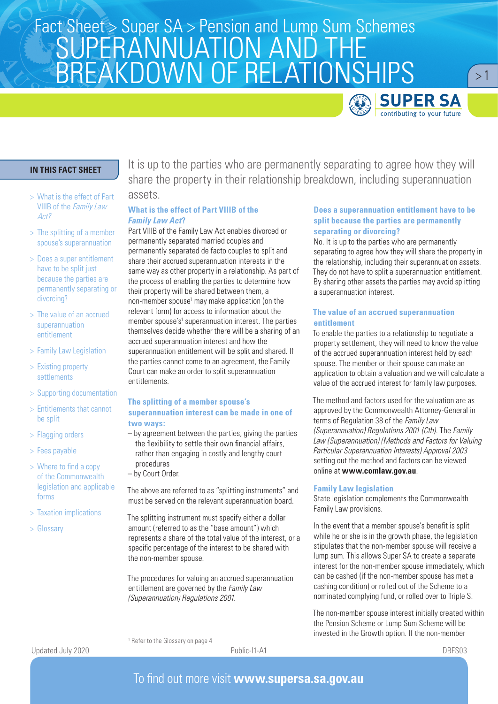

 $>1$ 

## **IN THIS FACT SHEET**

- > What is the effect of Part VIIIB of the Family Law Act?
- > The splitting of a member spouse's superannuation
- > Does a super entitlement have to be split just because the parties are permanently separating or divorcing?
- > The value of an accrued superannuation entitlement
- > Family Law Legislation
- > Existing property settlements
- > Supporting documentation
- > Entitlements that cannot be split
- > Flagging orders
- > Fees payable
- > Where to find a copy of the Commonwealth legislation and applicable forms
- > Taxation implications
- > Glossary

It is up to the parties who are permanently separating to agree how they will share the property in their relationship breakdown, including superannuation assets.

#### **What is the effect of Part VIIIB of the**  *Family Law Act***?**

Part VIIIB of the Family Law Act enables divorced or permanently separated married couples and permanently separated de facto couples to split and share their accrued superannuation interests in the same way as other property in a relationship. As part of the process of enabling the parties to determine how their property will be shared between them, a non-member spouse<sup>1</sup> may make application (on the relevant form) for access to information about the member spouse's<sup>1</sup> superannuation interest. The parties themselves decide whether there will be a sharing of an accrued superannuation interest and how the superannuation entitlement will be split and shared. If the parties cannot come to an agreement, the Family Court can make an order to split superannuation entitlements.

#### **The splitting of a member spouse's superannuation interest can be made in one of two ways:**

- by agreement between the parties, giving the parties the flexibility to settle their own financial affairs, rather than engaging in costly and lengthy court procedures
- by Court Order.

1 Refer to the Glossary on page 4

The above are referred to as "splitting instruments" and must be served on the relevant superannuation board.

The splitting instrument must specify either a dollar amount (referred to as the "base amount") which represents a share of the total value of the interest, or a specific percentage of the interest to be shared with the non-member spouse.

The procedures for valuing an accrued superannuation entitlement are governed by the *Family Law (Superannuation) Regulations 2001.*

#### **Does a superannuation entitlement have to be split because the parties are permanently separating or divorcing?**

No. It is up to the parties who are permanently separating to agree how they will share the property in the relationship, including their superannuation assets. They do not have to split a superannuation entitlement. By sharing other assets the parties may avoid splitting a superannuation interest.

#### **The value of an accrued superannuation entitlement**

To enable the parties to a relationship to negotiate a property settlement, they will need to know the value of the accrued superannuation interest held by each spouse. The member or their spouse can make an application to obtain a valuation and we will calculate a value of the accrued interest for family law purposes.

The method and factors used for the valuation are as approved by the Commonwealth Attorney-General in terms of Regulation 38 of the *Family Law (Superannuation) Regulations 2001 (Cth)*. The *Family Law (Superannuation) (Methods and Factors for Valuing Particular Superannuation Interests) Approval 2003* setting out the method and factors can be viewed online at **www.comlaw.gov.au**.

#### **Family Law legislation**

State legislation complements the Commonwealth Family Law provisions.

In the event that a member spouse's benefit is split while he or she is in the growth phase, the legislation stipulates that the non-member spouse will receive a lump sum. This allows Super SA to create a separate interest for the non-member spouse immediately, which can be cashed (if the non-member spouse has met a cashing condition) or rolled out of the Scheme to a nominated complying fund, or rolled over to Triple S.

The non-member spouse interest initially created within the Pension Scheme or Lump Sum Scheme will be invested in the Growth option. If the non-member

Updated July 2020

Public-I1-A1 DBFS03

# To find out more visit **www.supersa.sa.gov.au**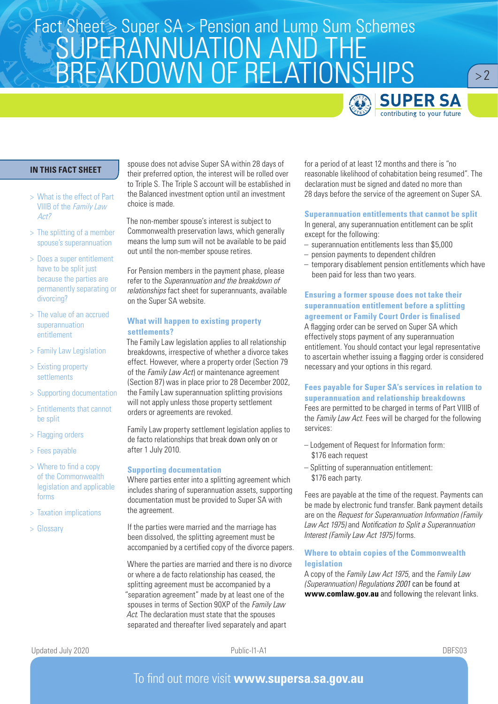

 $> 2$ 

## **IN THIS FACT SHEET**

- > What is the effect of Part VIIIB of the Family Law Act?
- > The splitting of a member spouse's superannuation
- > Does a super entitlement have to be split just because the parties are permanently separating or divorcing?
- > The value of an accrued superannuation entitlement
- > Family Law Legislation
- > Existing property settlements
- > Supporting documentation
- > Entitlements that cannot be split
- > Flagging orders
- > Fees payable
- > Where to find a copy of the Commonwealth legislation and applicable forms
- > Taxation implications
- > Glossary

spouse does not advise Super SA within 28 days of their preferred option, the interest will be rolled over to Triple S. The Triple S account will be established in the Balanced investment option until an investment choice is made.

The non-member spouse's interest is subject to Commonwealth preservation laws, which generally means the lump sum will not be available to be paid out until the non-member spouse retires.

For Pension members in the payment phase, please refer to the *Superannuation and the breakdown of relationships* fact sheet for superannuants, available on the Super SA website.

### **What will happen to existing property settlements?**

The Family Law legislation applies to all relationship breakdowns, irrespective of whether a divorce takes effect. However, where a property order (Section 79 of the *Family Law Act*) or maintenance agreement (Section 87) was in place prior to 28 December 2002, the Family Law superannuation splitting provisions will not apply unless those property settlement orders or agreements are revoked.

Family Law property settlement legislation applies to de facto relationships that break down only on or after 1 July 2010.

#### **Supporting documentation**

Where parties enter into a splitting agreement which includes sharing of superannuation assets, supporting documentation must be provided to Super SA with the agreement.

If the parties were married and the marriage has been dissolved, the splitting agreement must be accompanied by a certified copy of the divorce papers.

Where the parties are married and there is no divorce or where a de facto relationship has ceased, the splitting agreement must be accompanied by a "separation agreement" made by at least one of the spouses in terms of Section 90XP of the *Family Law Act*. The declaration must state that the spouses separated and thereafter lived separately and apart

for a period of at least 12 months and there is "no reasonable likelihood of cohabitation being resumed". The declaration must be signed and dated no more than 28 days before the service of the agreement on Super SA.

#### **Superannuation entitlements that cannot be split**

In general, any superannuation entitlement can be split except for the following:

- superannuation entitlements less than \$5,000
- pension payments to dependent children
- temporary disablement pension entitlements which have been paid for less than two years.

### **Ensuring a former spouse does not take their superannuation entitlement before a splitting agreement or Family Court Order is finalised**

A flagging order can be served on Super SA which effectively stops payment of any superannuation entitlement. You should contact your legal representative to ascertain whether issuing a flagging order is considered necessary and your options in this regard.

## **Fees payable for Super SA's services in relation to superannuation and relationship breakdowns**

Fees are permitted to be charged in terms of Part VIIIB of the *Family Law Act*. Fees will be charged for the following services:

- Lodgement of Request for Information form: \$176 each request
- Splitting of superannuation entitlement: \$176 each party.

Fees are payable at the time of the request. Payments can be made by electronic fund transfer. Bank payment details are on the *Request for Superannuation Information (Family Law Act 1975)* and *Notification to Split a Superannuation Interest (Family Law Act 1975)* forms.

#### **Where to obtain copies of the Commonwealth legislation**

A copy of the *Family Law Act 1975*, and the *Family Law (Superannuation) Regulations 2001* can be found at **www.comlaw.gov.au** and following the relevant links.

Public-I1-A1 DBFS03

# To find out more visit **www.supersa.sa.gov.au**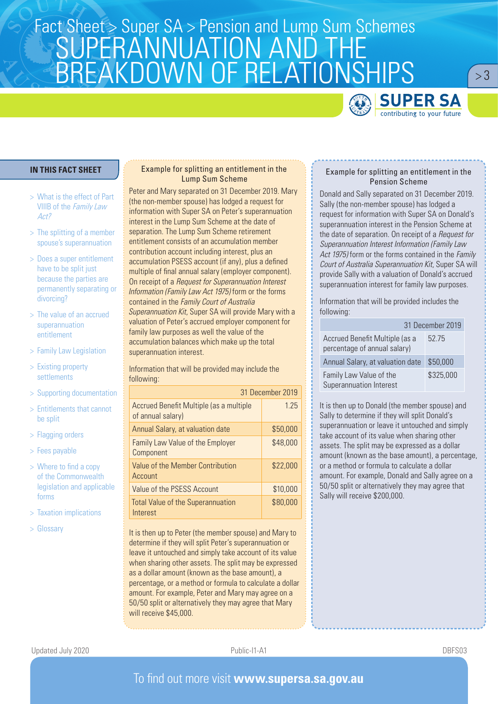

 $> 3$ 

### **IN THIS FACT SHEET**

- > What is the effect of Part VIIIB of the Family Law Act?
- > The splitting of a member spouse's superannuation
- > Does a super entitlement have to be split just because the parties are permanently separating or divorcing?
- > The value of an accrued superannuation entitlement
- > Family Law Legislation
- > Existing property settlements
- > Supporting documentation
- > Entitlements that cannot be split
- > Flagging orders
- > Fees payable
- > Where to find a copy of the Commonwealth legislation and applicable forms
- > Taxation implications
- > Glossary

## Example for splitting an entitlement in the Lump Sum Scheme

Peter and Mary separated on 31 December 2019. Mary (the non-member spouse) has lodged a request for information with Super SA on Peter's superannuation interest in the Lump Sum Scheme at the date of separation. The Lump Sum Scheme retirement entitlement consists of an accumulation member contribution account including interest, plus an accumulation PSESS account (if any), plus a defined multiple of final annual salary (employer component). On receipt of a *Request for Superannuation Interest Information (Family Law Act 1975)* form or the forms contained in the *Family Court of Australia Superannuation Kit*, Super SA will provide Mary with a valuation of Peter's accrued employer component for family law purposes as well the value of the accumulation balances which make up the total superannuation interest.

Information that will be provided may include the following:

| 31 December 2019                                             |          |
|--------------------------------------------------------------|----------|
| Accrued Benefit Multiple (as a multiple<br>of annual salary) | 1.25     |
| Annual Salary, at valuation date                             | \$50,000 |
| <b>Family Law Value of the Employer</b><br>Component         | \$48,000 |
| Value of the Member Contribution<br>Account                  | \$22,000 |
| Value of the PSESS Account                                   | \$10,000 |
| <b>Total Value of the Superannuation</b><br>Interest         | \$80,000 |

It is then up to Peter (the member spouse) and Mary to determine if they will split Peter's superannuation or leave it untouched and simply take account of its value when sharing other assets. The split may be expressed as a dollar amount (known as the base amount), a percentage, or a method or formula to calculate a dollar amount. For example, Peter and Mary may agree on a 50/50 split or alternatively they may agree that Mary will receive \$45,000

#### Example for splitting an entitlement in the Pension Scheme

Donald and Sally separated on 31 December 2019. Sally (the non-member spouse) has lodged a request for information with Super SA on Donald's superannuation interest in the Pension Scheme at the date of separation. On receipt of a *Request for Superannuation Interest Information (Family Law Act 1975)* form or the forms contained in the *Family Court of Australia Superannuation Kit*, Super SA will provide Sally with a valuation of Donald's accrued superannuation interest for family law purposes.

Information that will be provided includes the following:

|                                                                | 31 December 2019 |  |
|----------------------------------------------------------------|------------------|--|
| Accrued Benefit Multiple (as a<br>percentage of annual salary) | 52.75            |  |
| Annual Salary, at valuation date                               | \$50,000         |  |
| Family Law Value of the<br>Superannuation Interest             | \$325,000        |  |

It is then up to Donald (the member spouse) and Sally to determine if they will split Donald's superannuation or leave it untouched and simply take account of its value when sharing other assets. The split may be expressed as a dollar amount (known as the base amount), a percentage or a method or formula to calculate a dollar amount. For example, Donald and Sally agree on a 50/50 split or alternatively they may agree that Sally will receive \$200,000.

Public-I1-A1 DBFS03